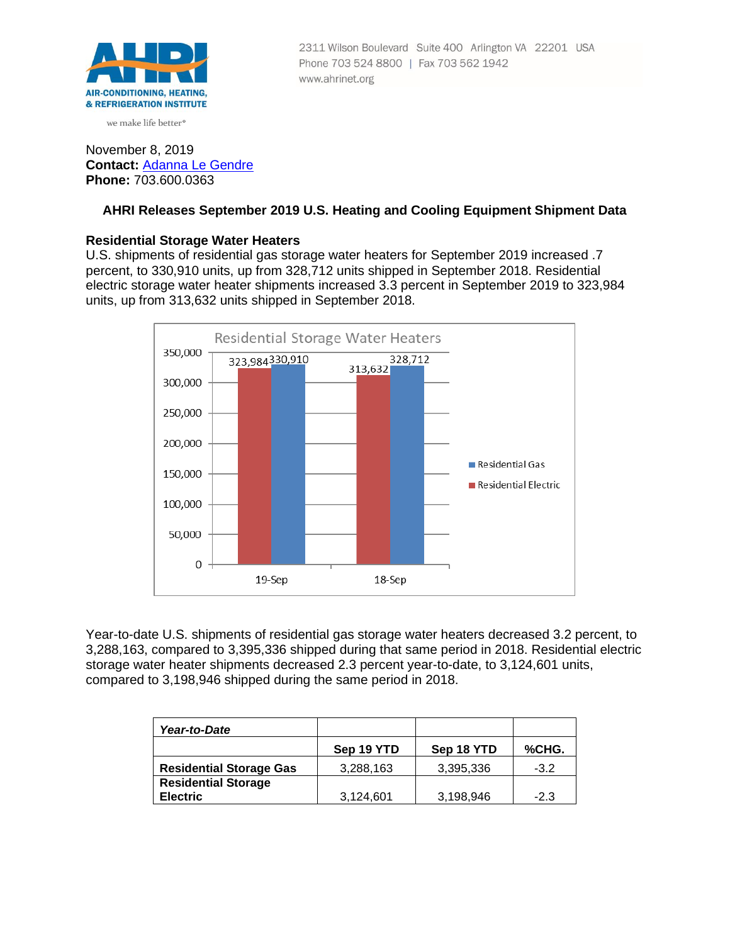

we make life better<sup>®</sup>

# 2311 Wilson Boulevard Suite 400 Arlington VA 22201 USA Phone 703 524 8800 | Fax 703 562 1942 www.ahrinet.org

# November 8, 2019 **Contact:** [Adanna Le Gendre](mailto:AleGendre@ahrinet.org) **Phone:** 703.600.0363

# **AHRI Releases September 2019 U.S. Heating and Cooling Equipment Shipment Data**

# **Residential Storage Water Heaters**

U.S. shipments of residential gas storage water heaters for September 2019 increased .7 percent, to 330,910 units, up from 328,712 units shipped in September 2018. Residential electric storage water heater shipments increased 3.3 percent in September 2019 to 323,984 units, up from 313,632 units shipped in September 2018.



Year-to-date U.S. shipments of residential gas storage water heaters decreased 3.2 percent, to 3,288,163, compared to 3,395,336 shipped during that same period in 2018. Residential electric storage water heater shipments decreased 2.3 percent year-to-date, to 3,124,601 units, compared to 3,198,946 shipped during the same period in 2018.

| Year-to-Date                   |            |            |        |
|--------------------------------|------------|------------|--------|
|                                | Sep 19 YTD | Sep 18 YTD | %CHG.  |
| <b>Residential Storage Gas</b> | 3,288,163  | 3,395,336  | $-3.2$ |
| <b>Residential Storage</b>     |            |            |        |
| <b>Electric</b>                | 3,124,601  | 3,198,946  | $-2.3$ |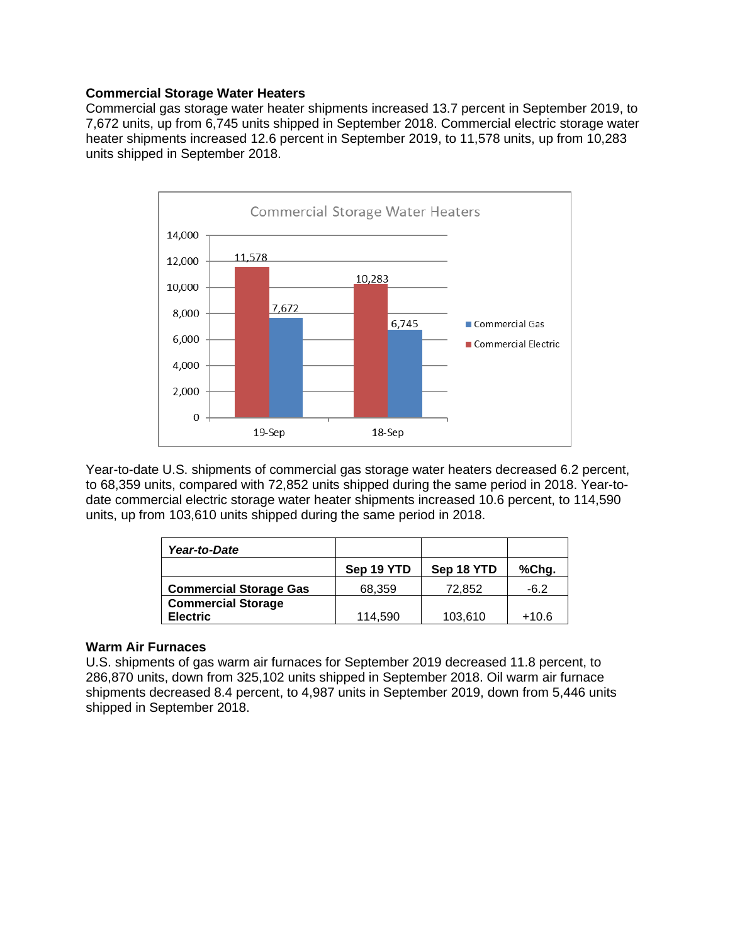### **Commercial Storage Water Heaters**

Commercial gas storage water heater shipments increased 13.7 percent in September 2019, to 7,672 units, up from 6,745 units shipped in September 2018. Commercial electric storage water heater shipments increased 12.6 percent in September 2019, to 11,578 units, up from 10,283 units shipped in September 2018.



Year-to-date U.S. shipments of commercial gas storage water heaters decreased 6.2 percent, to 68,359 units, compared with 72,852 units shipped during the same period in 2018. Year-todate commercial electric storage water heater shipments increased 10.6 percent, to 114,590 units, up from 103,610 units shipped during the same period in 2018.

| Year-to-Date                  |            |            |         |
|-------------------------------|------------|------------|---------|
|                               | Sep 19 YTD | Sep 18 YTD | %Chg.   |
| <b>Commercial Storage Gas</b> | 68,359     | 72,852     | $-6.2$  |
| <b>Commercial Storage</b>     |            |            |         |
| <b>Electric</b>               | 114.590    | 103,610    | $+10.6$ |

# **Warm Air Furnaces**

U.S. shipments of gas warm air furnaces for September 2019 decreased 11.8 percent, to 286,870 units, down from 325,102 units shipped in September 2018. Oil warm air furnace shipments decreased 8.4 percent, to 4,987 units in September 2019, down from 5,446 units shipped in September 2018.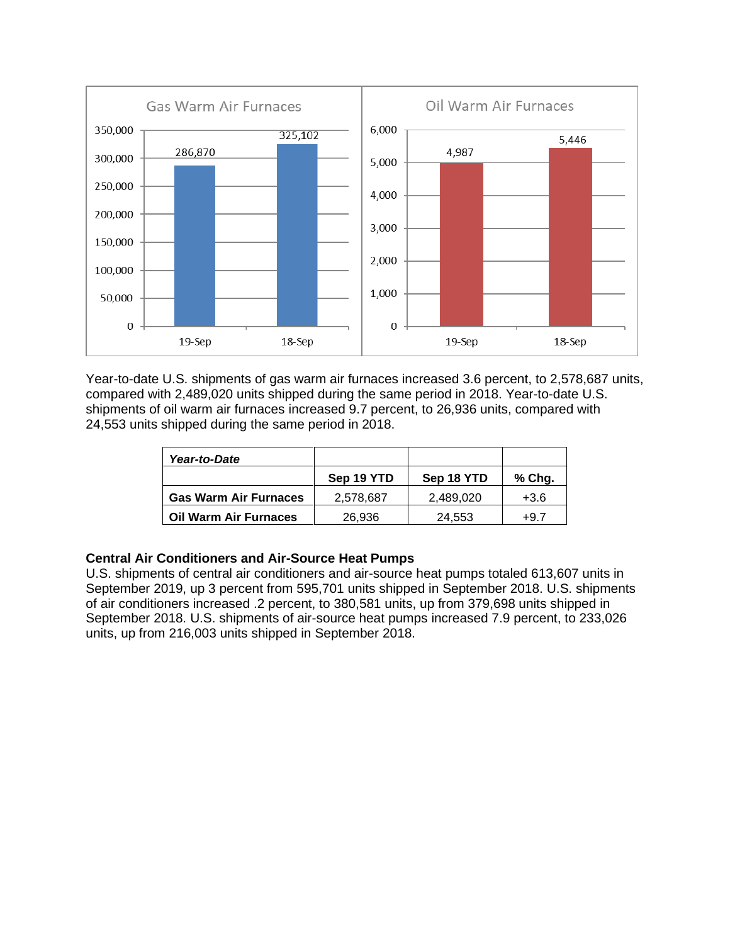

Year-to-date U.S. shipments of gas warm air furnaces increased 3.6 percent, to 2,578,687 units, compared with 2,489,020 units shipped during the same period in 2018. Year-to-date U.S. shipments of oil warm air furnaces increased 9.7 percent, to 26,936 units, compared with 24,553 units shipped during the same period in 2018.

| Year-to-Date                 |            |            |        |
|------------------------------|------------|------------|--------|
|                              | Sep 19 YTD | Sep 18 YTD | % Chg. |
| <b>Gas Warm Air Furnaces</b> | 2,578,687  | 2.489.020  | $+3.6$ |
| <b>Oil Warm Air Furnaces</b> | 26.936     | 24.553     | +9.7   |

# **Central Air Conditioners and Air-Source Heat Pumps**

U.S. shipments of central air conditioners and air-source heat pumps totaled 613,607 units in September 2019, up 3 percent from 595,701 units shipped in September 2018. U.S. shipments of air conditioners increased .2 percent, to 380,581 units, up from 379,698 units shipped in September 2018. U.S. shipments of air-source heat pumps increased 7.9 percent, to 233,026 units, up from 216,003 units shipped in September 2018.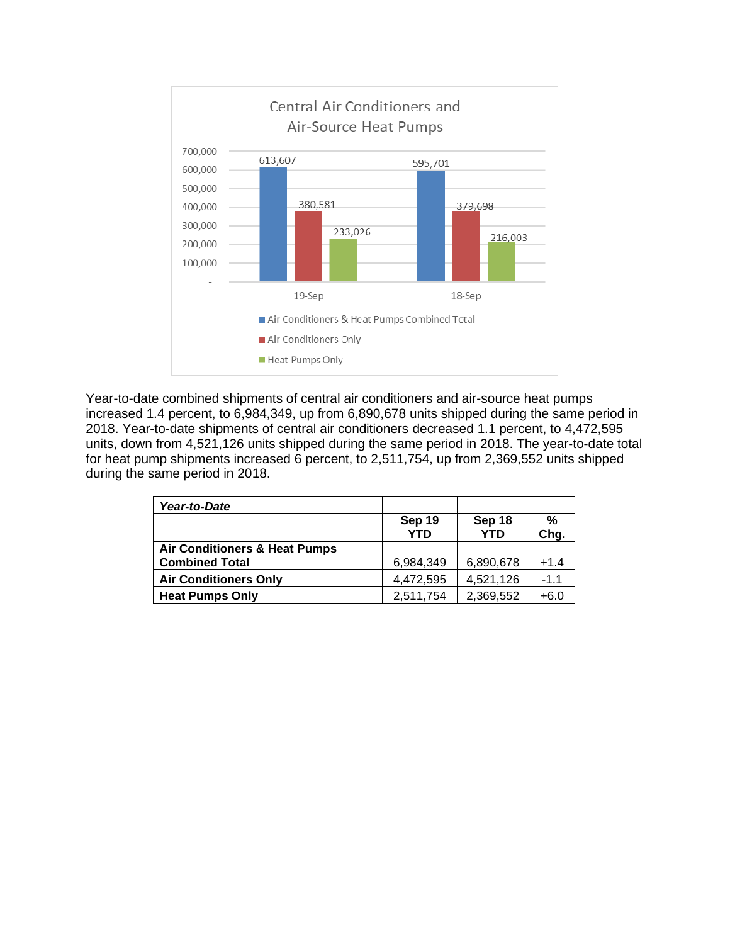

Year-to-date combined shipments of central air conditioners and air-source heat pumps increased 1.4 percent, to 6,984,349, up from 6,890,678 units shipped during the same period in 2018. Year-to-date shipments of central air conditioners decreased 1.1 percent, to 4,472,595 units, down from 4,521,126 units shipped during the same period in 2018. The year-to-date total for heat pump shipments increased 6 percent, to 2,511,754, up from 2,369,552 units shipped during the same period in 2018.

| Year-to-Date                                                      |                      |                      |           |
|-------------------------------------------------------------------|----------------------|----------------------|-----------|
|                                                                   | Sep 19<br><b>YTD</b> | Sep 18<br><b>YTD</b> | %<br>Chg. |
| <b>Air Conditioners &amp; Heat Pumps</b><br><b>Combined Total</b> | 6,984,349            | 6,890,678            | $+1.4$    |
| <b>Air Conditioners Only</b>                                      | 4,472,595            | 4,521,126            | $-1.1$    |
| <b>Heat Pumps Only</b>                                            | 2,511,754            | 2,369,552            | $+6.0$    |